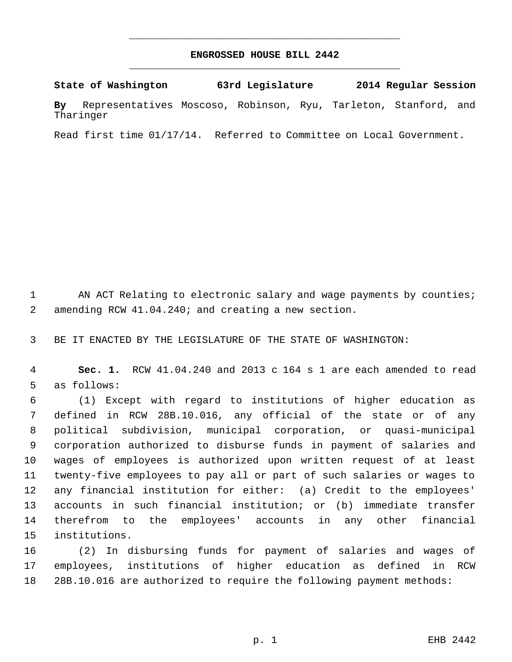## **ENGROSSED HOUSE BILL 2442** \_\_\_\_\_\_\_\_\_\_\_\_\_\_\_\_\_\_\_\_\_\_\_\_\_\_\_\_\_\_\_\_\_\_\_\_\_\_\_\_\_\_\_\_\_

\_\_\_\_\_\_\_\_\_\_\_\_\_\_\_\_\_\_\_\_\_\_\_\_\_\_\_\_\_\_\_\_\_\_\_\_\_\_\_\_\_\_\_\_\_

**State of Washington 63rd Legislature 2014 Regular Session**

**By** Representatives Moscoso, Robinson, Ryu, Tarleton, Stanford, and Tharinger

Read first time 01/17/14. Referred to Committee on Local Government.

1 AN ACT Relating to electronic salary and wage payments by counties; amending RCW 41.04.240; and creating a new section.

BE IT ENACTED BY THE LEGISLATURE OF THE STATE OF WASHINGTON:

 **Sec. 1.** RCW 41.04.240 and 2013 c 164 s 1 are each amended to read as follows:

 (1) Except with regard to institutions of higher education as defined in RCW 28B.10.016, any official of the state or of any political subdivision, municipal corporation, or quasi-municipal corporation authorized to disburse funds in payment of salaries and wages of employees is authorized upon written request of at least twenty-five employees to pay all or part of such salaries or wages to any financial institution for either: (a) Credit to the employees' accounts in such financial institution; or (b) immediate transfer therefrom to the employees' accounts in any other financial institutions.

 (2) In disbursing funds for payment of salaries and wages of employees, institutions of higher education as defined in RCW 28B.10.016 are authorized to require the following payment methods: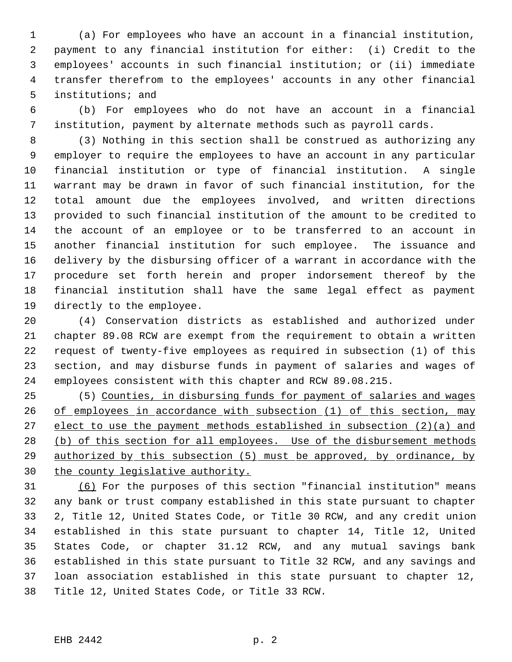(a) For employees who have an account in a financial institution, payment to any financial institution for either: (i) Credit to the employees' accounts in such financial institution; or (ii) immediate transfer therefrom to the employees' accounts in any other financial institutions; and

 (b) For employees who do not have an account in a financial institution, payment by alternate methods such as payroll cards.

 (3) Nothing in this section shall be construed as authorizing any employer to require the employees to have an account in any particular financial institution or type of financial institution. A single warrant may be drawn in favor of such financial institution, for the total amount due the employees involved, and written directions provided to such financial institution of the amount to be credited to the account of an employee or to be transferred to an account in another financial institution for such employee. The issuance and delivery by the disbursing officer of a warrant in accordance with the procedure set forth herein and proper indorsement thereof by the financial institution shall have the same legal effect as payment directly to the employee.

 (4) Conservation districts as established and authorized under chapter 89.08 RCW are exempt from the requirement to obtain a written request of twenty-five employees as required in subsection (1) of this section, and may disburse funds in payment of salaries and wages of employees consistent with this chapter and RCW 89.08.215.

 (5) Counties, in disbursing funds for payment of salaries and wages 26 of employees in accordance with subsection (1) of this section, may 27 elect to use the payment methods established in subsection (2)(a) and 28 (b) of this section for all employees. Use of the disbursement methods authorized by this subsection (5) must be approved, by ordinance, by 30 the county legislative authority.

 (6) For the purposes of this section "financial institution" means any bank or trust company established in this state pursuant to chapter 2, Title 12, United States Code, or Title 30 RCW, and any credit union established in this state pursuant to chapter 14, Title 12, United States Code, or chapter 31.12 RCW, and any mutual savings bank established in this state pursuant to Title 32 RCW, and any savings and loan association established in this state pursuant to chapter 12, Title 12, United States Code, or Title 33 RCW.